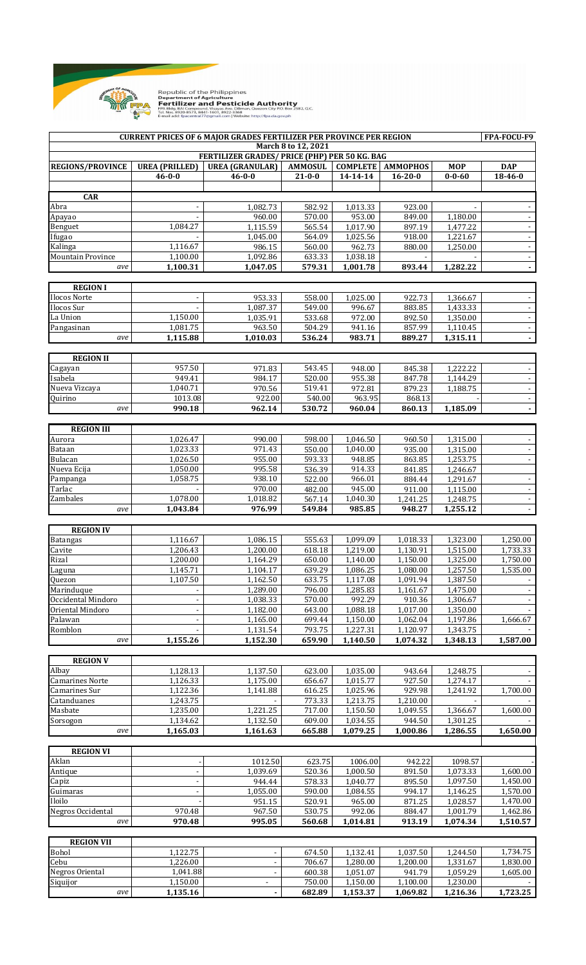

|                                                                      |                          | <b>CURRENT PRICES OF 6 MAJOR GRADES FERTILIZER PER PROVINCE PER REGION</b> |                  |                      |                            |                      | FPA-FOCU-F9                                |
|----------------------------------------------------------------------|--------------------------|----------------------------------------------------------------------------|------------------|----------------------|----------------------------|----------------------|--------------------------------------------|
| March 8 to 12, 2021<br>FERTILIZER GRADES/ PRICE (PHP) PER 50 KG. BAG |                          |                                                                            |                  |                      |                            |                      |                                            |
| <b>REGIONS/PROVINCE</b>                                              | <b>UREA</b> (PRILLED)    | <b>UREA (GRANULAR)</b>                                                     | <b>AMMOSUL</b>   |                      | <b>COMPLETE   AMMOPHOS</b> | <b>MOP</b>           | <b>DAP</b>                                 |
|                                                                      | $46 - 0 - 0$             | $46 - 0 - 0$                                                               | $21 - 0 - 0$     | 14-14-14             | $16 - 20 - 0$              | $0 - 0 - 60$         | 18-46-0                                    |
| <b>CAR</b>                                                           |                          |                                                                            |                  |                      |                            |                      |                                            |
| Abra                                                                 |                          | 1,082.73                                                                   | 582.92           | 1,013.33             | 923.00                     |                      | $\overline{\phantom{a}}$                   |
| Apayao                                                               |                          | 960.00                                                                     | 570.00           | 953.00               | 849.00                     | 1,180.00             | $\blacksquare$                             |
| Benguet                                                              | 1,084.27                 | 1,115.59                                                                   | 565.54           | 1,017.90             | 897.19                     | 1,477.22             | $\mathbb{L}^+$                             |
| Ifugao                                                               |                          | 1,045.00                                                                   | 564.09           | 1,025.56             | 918.00                     | 1,221.67             | $\overline{\phantom{a}}$                   |
| Kalinga                                                              | 1,116.67                 | 986.15                                                                     | 560.00           | 962.73               | 880.00                     | 1,250.00             | $\overline{\phantom{a}}$                   |
| <b>Mountain Province</b><br>ave                                      | 1,100.00<br>1,100.31     | 1,092.86<br>1,047.05                                                       | 633.33<br>579.31 | 1,038.18<br>1,001.78 | 893.44                     | 1,282.22             | $\overline{\phantom{a}}$<br>$\blacksquare$ |
|                                                                      |                          |                                                                            |                  |                      |                            |                      |                                            |
| <b>REGION I</b>                                                      |                          |                                                                            |                  |                      |                            |                      |                                            |
| Ilocos Norte                                                         | $\overline{\phantom{a}}$ | 953.33                                                                     | 558.00           | 1,025.00             | 922.73                     | 1,366.67             | $\overline{\phantom{a}}$                   |
| Ilocos Sur                                                           |                          | 1,087.37                                                                   | 549.00           | 996.67               | 883.85                     | 1,433.33             | $\blacksquare$                             |
| La Union<br>Pangasinan                                               | 1,150.00<br>1,081.75     | 1,035.91<br>963.50                                                         | 533.68<br>504.29 | 972.00<br>941.16     | 892.50<br>857.99           | 1,350.00<br>1,110.45 | $\blacksquare$<br>$\overline{\phantom{a}}$ |
| ave                                                                  | 1,115.88                 | 1,010.03                                                                   | 536.24           | 983.71               | 889.27                     | 1,315.11             | $\blacksquare$                             |
|                                                                      |                          |                                                                            |                  |                      |                            |                      |                                            |
| <b>REGION II</b>                                                     |                          |                                                                            |                  |                      |                            |                      |                                            |
| Cagayan                                                              | 957.50                   | 971.83                                                                     | 543.45           | 948.00               | 845.38                     | 1,222.22             | $\overline{\phantom{a}}$                   |
| Isabela                                                              | 949.41                   | 984.17                                                                     | 520.00           | 955.38               | 847.78                     | 1,144.29             | $\sim$                                     |
| Nueva Vizcaya<br>Quirino                                             | 1,040.71<br>1013.08      | 970.56<br>922.00                                                           | 519.41<br>540.00 | 972.81<br>963.95     | 879.23<br>868.13           | 1,188.75             | $\blacksquare$                             |
| ave                                                                  | 990.18                   | 962.14                                                                     | 530.72           | 960.04               | 860.13                     | 1,185.09             | $\sim$<br>$\blacksquare$                   |
|                                                                      |                          |                                                                            |                  |                      |                            |                      |                                            |
| <b>REGION III</b>                                                    |                          |                                                                            |                  |                      |                            |                      |                                            |
| Aurora                                                               | 1,026.47                 | 990.00                                                                     | 598.00           | 1,046.50             | 960.50                     | 1,315.00             | $\blacksquare$                             |
| Bataan                                                               | 1,023.33                 | 971.43                                                                     | 550.00           | 1,040.00             | 935.00                     | 1,315.00             | $\blacksquare$                             |
| Bulacan<br>Nueva Ecija                                               | 1,026.50<br>1,050.00     | 955.00<br>995.58                                                           | 593.33<br>536.39 | 948.85<br>914.33     | 863.85<br>841.85           | 1,253.75<br>1,246.67 | $\sim$                                     |
| Pampanga                                                             | 1,058.75                 | 938.10                                                                     | 522.00           | 966.01               | 884.44                     | 1,291.67             | $\blacksquare$                             |
| Tarlac                                                               |                          | 970.00                                                                     | 482.00           | 945.00               | 911.00                     | 1,115.00             | $\blacksquare$                             |
| Zambales                                                             | 1,078.00                 | 1,018.82                                                                   | 567.14           | 1,040.30             | 1,241.25                   | 1,248.75             | $\sim$                                     |
| ave                                                                  | 1,043.84                 | 976.99                                                                     | 549.84           | 985.85               | 948.27                     | 1,255.12             |                                            |
|                                                                      |                          |                                                                            |                  |                      |                            |                      |                                            |
| <b>REGION IV</b>                                                     | 1,116.67                 | 1,086.15                                                                   | 555.63           | 1,099.09             | 1,018.33                   | 1,323.00             | 1,250.00                                   |
| <b>Batangas</b><br>Cavite                                            | 1,206.43                 | $\overline{1,200.00}$                                                      | 618.18           | 1,219.00             | 1,130.91                   | 1,515.00             | 1,733.33                                   |
| Rizal                                                                | 1.200.00                 | 1,164.29                                                                   | 650.00           | 1,140.00             | 1,150.00                   | 1,325.00             | 1,750.00                                   |
| Laguna                                                               | 1,145.71                 | 1,104.17                                                                   | 639.29           | 1,086.25             | 1,080.00                   | 1,257.50             | 1,535.00                                   |
| Quezon                                                               | 1,107.50                 | 1,162.50                                                                   | 633.75           | 1,117.08             | 1,091.94                   | 1,387.50             |                                            |
| Marinduque                                                           |                          | 1,289.00                                                                   | 796.00           | 1,285.83             | 1,161.67                   | 1,475.00             | $\overline{\phantom{a}}$                   |
| Occidental Mindoro<br>Oriental Mindoro                               | $\blacksquare$           | 1,038.33<br>1,182.00                                                       | 570.00<br>643.00 | 992.29<br>1,088.18   | 910.36<br>1,017.00         | 1,306.67<br>1,350.00 |                                            |
| Palawan                                                              | $\overline{\phantom{a}}$ | 1,165.00                                                                   | 699.44           | 1,150.00             | 1,062.04                   | 1,197.86             | 1,666.67                                   |
| Romblon                                                              |                          | 1,131.54                                                                   | 793.75           | 1,227.31             | 1,120.97                   | 1,343.75             |                                            |
| ave                                                                  | 1,155.26                 | 1,152.30                                                                   | 659.90           | 1,140.50             | 1,074.32                   | 1,348.13             | 1,587.00                                   |
|                                                                      |                          |                                                                            |                  |                      |                            |                      |                                            |
| <b>REGION V</b><br>Albay                                             | 1,128.13                 | $\overline{1,}137.50$                                                      | 623.00           | 1,035.00             | 943.64                     | 1,248.75             |                                            |
| <b>Camarines Norte</b>                                               | 1,126.33                 | 1,175.00                                                                   | 656.67           | 1,015.77             | 927.50                     | 1,274.17             |                                            |
| Camarines Sur                                                        | 1,122.36                 | 1,141.88                                                                   | 616.25           | 1,025.96             | 929.98                     | 1,241.92             | 1,700.00                                   |
| Catanduanes                                                          | 1,243.75                 |                                                                            | 773.33           | 1,213.75             | 1,210.00                   |                      |                                            |
| Masbate                                                              | 1,235.00                 | 1,221.25                                                                   | 717.00           | 1,150.50             | 1,049.55                   | 1,366.67             | 1,600.00                                   |
| Sorsogon                                                             | 1,134.62                 | 1,132.50                                                                   | 609.00           | 1,034.55             | 944.50                     | 1,301.25             |                                            |
| ave                                                                  | 1,165.03                 | 1,161.63                                                                   | 665.88           | 1,079.25             | 1,000.86                   | 1,286.55             | 1,650.00                                   |
| <b>REGION VI</b>                                                     |                          |                                                                            |                  |                      |                            |                      |                                            |
| Aklan                                                                |                          | 1012.50                                                                    | 623.75           | 1006.00              | 942.22                     | 1098.57              |                                            |
| Antique                                                              |                          | 1,039.69                                                                   | 520.36           | 1,000.50             | 891.50                     | 1,073.33             | 1,600.00                                   |
| Capiz                                                                |                          | 944.44                                                                     | 578.33           | 1,040.77             | 895.50                     | 1,097.50             | 1,450.00                                   |
| Guimaras<br>Iloilo                                                   |                          | 1,055.00<br>951.15                                                         | 590.00<br>520.91 | 1,084.55<br>965.00   | 994.17<br>871.25           | 1,146.25<br>1,028.57 | 1,570.00<br>1,470.00                       |
| Negros Occidental                                                    | 970.48                   | 967.50                                                                     | 530.75           | 992.06               | 884.47                     | 1,001.79             | 1,462.86                                   |
| ave                                                                  | 970.48                   | 995.05                                                                     | 560.68           | 1,014.81             | 913.19                     | 1,074.34             | 1,510.57                                   |
|                                                                      |                          |                                                                            |                  |                      |                            |                      |                                            |
| <b>REGION VII</b>                                                    |                          |                                                                            |                  |                      |                            |                      |                                            |
| Bohol                                                                | 1,122.75                 | $\overline{\phantom{a}}$                                                   | 674.50           | 1,132.41             | 1,037.50                   | 1,244.50             | 1,734.75                                   |
| Cebu<br><b>Negros Oriental</b>                                       | 1,226.00<br>1,041.88     | $\overline{\phantom{a}}$                                                   | 706.67<br>600.38 | 1,280.00<br>1,051.07 | 1,200.00<br>941.79         | 1,331.67<br>1,059.29 | 1,830.00<br>1,605.00                       |
| Siquijor                                                             | 1,150.00                 | -                                                                          | 750.00           | 1,150.00             | 1,100.00                   | 1,230.00             |                                            |
| ave                                                                  | 1,135.16                 |                                                                            | 682.89           | 1,153.37             | 1,069.82                   | 1,216.36             | 1,723.25                                   |
|                                                                      |                          |                                                                            |                  |                      |                            |                      |                                            |

Republic of the Philippines<br>**Department of Agriculture<br>Fertillizer and Pesticide Authority**<br>FRABIdg. BAI Compound, Visayas Ave. Dillman, Quezon City P.O. Box 2582, Q.C.<br>Tel. Nos. 8920-8573, 8441-1601, 8922-3368<br>E-mail add: